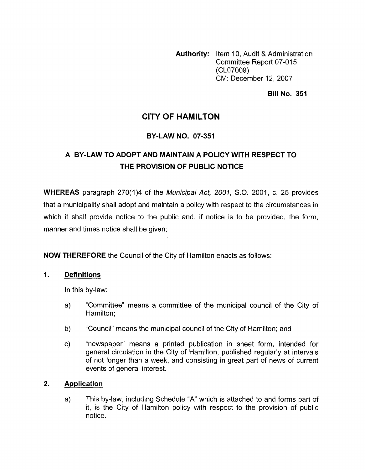**Authority:** Item 10, Audit & Administration Committee Report 07-015 (CL07009) CM: December 12,2007

### **Bill No. 351**

## **CITY OF HAMILTON**

## **BY-LAW NO. 07-351**

## **A BY-LAW TO ADOPT AND MAINTAIN A POLICY WITH RESPECT TO THE PROVISION OF PUBLIC NOTICE**

**WHEREAS** paragraph 270(1)4 of the *Municipal Act, 2001*, S.O. 2001, c. 25 provides that a municipality shall adopt and maintain a policy with respect to the circumstances in which it shall provide notice to the public and, if notice is to be provided, the form, manner and times notice shall be given;

**NOW THEREFORE** the Council of the City of Hamilton enacts as follows:

### **1. Definitions**

In this by-law:

- a) "Committee" means a committee of the municipal council of the City of Hamilton;
- b) "Council" means the municipal council of the City of Hamilton; and
- c) "newspaper" means a printed publication in sheet form, intended for general circulation in the City of Hamilton, published regularly at intervals of not longer than a week, and consisting in great part of news of current events of general interest.

### **2. Application**

a) This by-law, including Schedule "A' which is attached to and forms part of it, is the City of Hamilton policy with respect to the provision of public notice.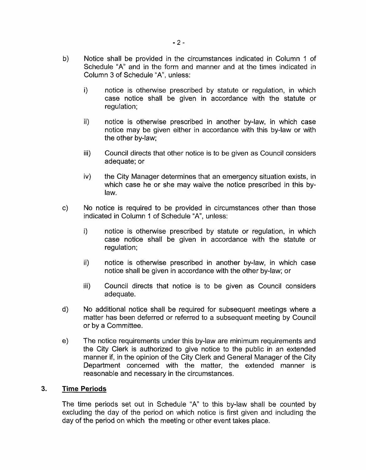- b) Notice shall be provided in the circumstances indicated in Column 1 of Schedule "A" and in the form and manner and at the times indicated in Column 3 of Schedule "A", unless:
	- i) notice is otherwise prescribed by statute or regulation, in which case notice shall be given in accordance with the statute or regulation;
	- ii) notice is otherwise prescribed in another by-law, in which case notice may be given either in accordance with this by-law or with the other by-law;
	- iii) Council directs that other notice is to be given as Council considers adequate; or
	- iv) the City Manager determines that an emergency situation exists, in which case he or she may waive the notice prescribed in this bylaw.
- c) No notice is required to be provided in circumstances other than those indicated in Column 1 of Schedule **"A",** unless:
	- i) notice is otherwise prescribed by statute or regulation, in which case notice shall be given in accordance with the statute or regulation;
	- ii) notice is otherwise prescribed in another by-law, in which case notice shall be given in accordance with the other by-law; or
	- iii) Council directs that notice is to be given as Council considers adequate.
- d) No additional notice shall be required for subsequent meetings where a matter has been deferred or referred to a subsequent meeting by Council or by a Committee.
- e) The notice requirements under this by-law are minimum requirements and the City Clerk is authorized to give notice to the public in an extended manner if, in the opinion of the City Clerk and General Manager of the City Department concerned with the matter, the extended manner is reasonable and necessary in the circumstances.

#### **3. Time Periods**

The time periods set out in Schedule "A" to this by-law shall be counted by excluding the day of the period on which notice is first given and including the day of the period on which the meeting or other event takes place.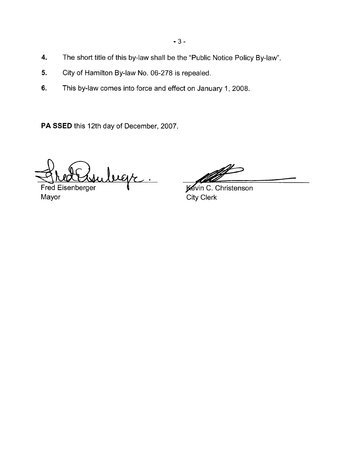- **4.**  The short title of this by-law shall be the "Public Notice Policy By-law".
- **5.**  City of Hamilton By-law No. 06-278 is repealed.
- **6.**  This by-law comes into force and effect on January 1, 2008.

**PA SSED** this 12th day of December, 2007

Fred Exsurbegr.

Mayor

**Kevin C. Christenson** City Clerk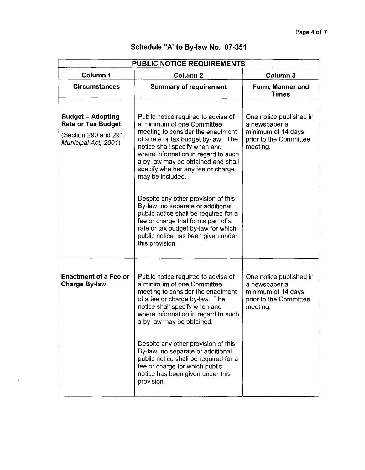| <b>PUBLIC NOTICE REQUIREMENTS</b>                                                                      |                                                                                                                                                                                                                                                                                                                                                                                                                                                                                                                                                                                 |                                                                                                      |  |  |
|--------------------------------------------------------------------------------------------------------|---------------------------------------------------------------------------------------------------------------------------------------------------------------------------------------------------------------------------------------------------------------------------------------------------------------------------------------------------------------------------------------------------------------------------------------------------------------------------------------------------------------------------------------------------------------------------------|------------------------------------------------------------------------------------------------------|--|--|
| Column 1                                                                                               | Column <sub>2</sub>                                                                                                                                                                                                                                                                                                                                                                                                                                                                                                                                                             | Column 3                                                                                             |  |  |
| <b>Circumstances</b>                                                                                   | <b>Summary of requirement</b>                                                                                                                                                                                                                                                                                                                                                                                                                                                                                                                                                   | Form, Manner and<br><b>Times</b>                                                                     |  |  |
| <b>Budget - Adopting</b><br><b>Rate or Tax Budget</b><br>(Section 290 and 291,<br>Municipal Act, 2001) | Public notice required to advise of<br>a minimum of one Committee<br>meeting to consider the enactment<br>of a rate or tax budget by-law. The<br>notice shall specify when and<br>where information in regard to such<br>a by-law may be obtained and shall<br>specify whether any fee or charge<br>may be included.<br>Despite any other provision of this<br>By-law, no separate or additional<br>public notice shall be required for a<br>fee or charge that forms part of a<br>rate or tax budget by-law for which<br>public notice has been given under<br>this provision. | One notice published in<br>a newspaper a<br>minimum of 14 days<br>prior to the Committee<br>meeting. |  |  |
| <b>Enactment of a Fee or</b><br><b>Charge By-law</b>                                                   | Public notice required to advise of<br>a minimum of one Committee<br>meeting to consider the enactment<br>of a fee or charge by-law. The<br>notice shall specify when and<br>where information in regard to such<br>a by-law may be obtained.<br>Despite any other provision of this<br>By-law, no separate or additional<br>public notice shall be required for a<br>fee or charge for which public<br>notice has been given under this<br>provision.                                                                                                                          | One notice published in<br>a newspaper a<br>minimum of 14 days<br>prior to the Committee<br>meeting. |  |  |

 $\bar{z}$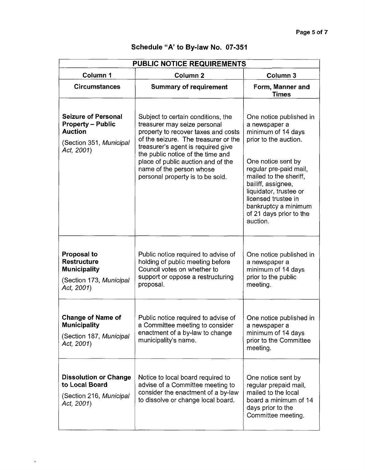| PUBLIC NOTICE REQUIREMENTS                                                                                        |                                                                                                                                                                                                                                                                                                                                    |                                                                                                                                                                                                                                                                                                         |  |
|-------------------------------------------------------------------------------------------------------------------|------------------------------------------------------------------------------------------------------------------------------------------------------------------------------------------------------------------------------------------------------------------------------------------------------------------------------------|---------------------------------------------------------------------------------------------------------------------------------------------------------------------------------------------------------------------------------------------------------------------------------------------------------|--|
| Column 1                                                                                                          | Column <sub>2</sub>                                                                                                                                                                                                                                                                                                                | Column <sub>3</sub>                                                                                                                                                                                                                                                                                     |  |
| <b>Circumstances</b>                                                                                              | <b>Summary of requirement</b>                                                                                                                                                                                                                                                                                                      | Form, Manner and<br><b>Times</b>                                                                                                                                                                                                                                                                        |  |
| <b>Seizure of Personal</b><br><b>Property - Public</b><br><b>Auction</b><br>(Section 351, Municipal<br>Act, 2001) | Subject to certain conditions, the<br>treasurer may seize personal<br>property to recover taxes and costs<br>of the seizure. The treasurer or the<br>treasurer's agent is required give<br>the public notice of the time and<br>place of public auction and of the<br>name of the person whose<br>personal property is to be sold. | One notice published in<br>a newspaper a<br>minimum of 14 days<br>prior to the auction.<br>One notice sent by<br>regular pre-paid mail,<br>mailed to the sheriff,<br>bailiff, assignee,<br>liquidator, trustee or<br>licensed trustee in<br>bankruptcy a minimum<br>of 21 days prior to the<br>auction. |  |
| <b>Proposal to</b><br><b>Restructure</b><br><b>Municipality</b><br>(Section 173, Municipal<br>Act, 2001)          | Public notice required to advise of<br>holding of public meeting before<br>Council votes on whether to<br>support or oppose a restructuring<br>proposal.                                                                                                                                                                           | One notice published in<br>a newspaper a<br>minimum of 14 days<br>prior to the public<br>meeting.                                                                                                                                                                                                       |  |
| <b>Change of Name of</b><br><b>Municipality</b><br>(Section 187, Municipal<br>Act, 2001)                          | Public notice required to advise of<br>a Committee meeting to consider<br>enactment of a by-law to change<br>municipality's name.                                                                                                                                                                                                  | One notice published in<br>a newspaper a<br>minimum of 14 days<br>prior to the Committee<br>meeting.                                                                                                                                                                                                    |  |
| <b>Dissolution or Change</b><br>to Local Board<br>(Section 216, Municipal<br>Act, 2001)                           | Notice to local board required to<br>advise of a Committee meeting to<br>consider the enactment of a by-law<br>to dissolve or change local board.                                                                                                                                                                                  | One notice sent by<br>regular prepaid mail,<br>mailed to the local<br>board a minimum of 14<br>days prior to the<br>Committee meeting.                                                                                                                                                                  |  |

 $\bar{s}$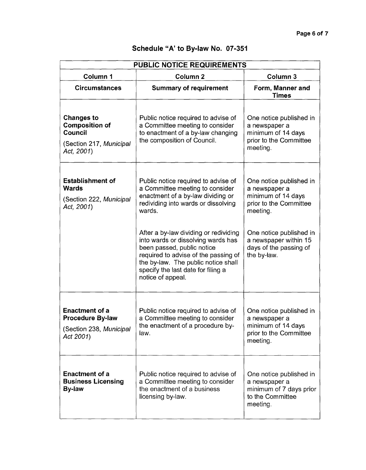| PUBLIC NOTICE REQUIREMENTS                                                                            |                                                                                                                                                                                                                                                     |                                                                                                      |  |
|-------------------------------------------------------------------------------------------------------|-----------------------------------------------------------------------------------------------------------------------------------------------------------------------------------------------------------------------------------------------------|------------------------------------------------------------------------------------------------------|--|
| Column 1                                                                                              | Column <sub>2</sub>                                                                                                                                                                                                                                 | Column 3                                                                                             |  |
| <b>Circumstances</b>                                                                                  | <b>Summary of requirement</b>                                                                                                                                                                                                                       | Form, Manner and<br>Times                                                                            |  |
| <b>Changes to</b><br><b>Composition of</b><br><b>Council</b><br>(Section 217, Municipal<br>Act, 2001) | Public notice required to advise of<br>a Committee meeting to consider<br>to enactment of a by-law changing<br>the composition of Council.                                                                                                          | One notice published in<br>a newspaper a<br>minimum of 14 days<br>prior to the Committee<br>meeting. |  |
| <b>Establishment of</b><br><b>Wards</b><br>(Section 222, Municipal<br>Act. 2001)                      | Public notice required to advise of<br>a Committee meeting to consider<br>enactment of a by-law dividing or<br>redividing into wards or dissolving<br>wards.                                                                                        | One notice published in<br>a newspaper a<br>minimum of 14 days<br>prior to the Committee<br>meeting. |  |
|                                                                                                       | After a by-law dividing or redividing<br>into wards or dissolving wards has<br>been passed, public notice<br>required to advise of the passing of<br>the by-law. The public notice shall<br>specify the last date for filing a<br>notice of appeal. | One notice published in<br>a newspaper within 15<br>days of the passing of<br>the by-law.            |  |
| <b>Enactment of a</b><br><b>Procedure By-law</b><br>(Section 238, Municipal<br>Act 2001)              | Public notice required to advise of<br>a Committee meeting to consider<br>the enactment of a procedure by-<br>law.                                                                                                                                  | One notice published in<br>a newspaper a<br>minimum of 14 days<br>prior to the Committee<br>meeting. |  |
| <b>Enactment of a</b><br><b>Business Licensing</b><br><b>By-law</b>                                   | Public notice required to advise of<br>a Committee meeting to consider<br>the enactment of a business<br>licensing by-law.                                                                                                                          | One notice published in<br>a newspaper a<br>minimum of 7 days prior<br>to the Committee<br>meeting.  |  |